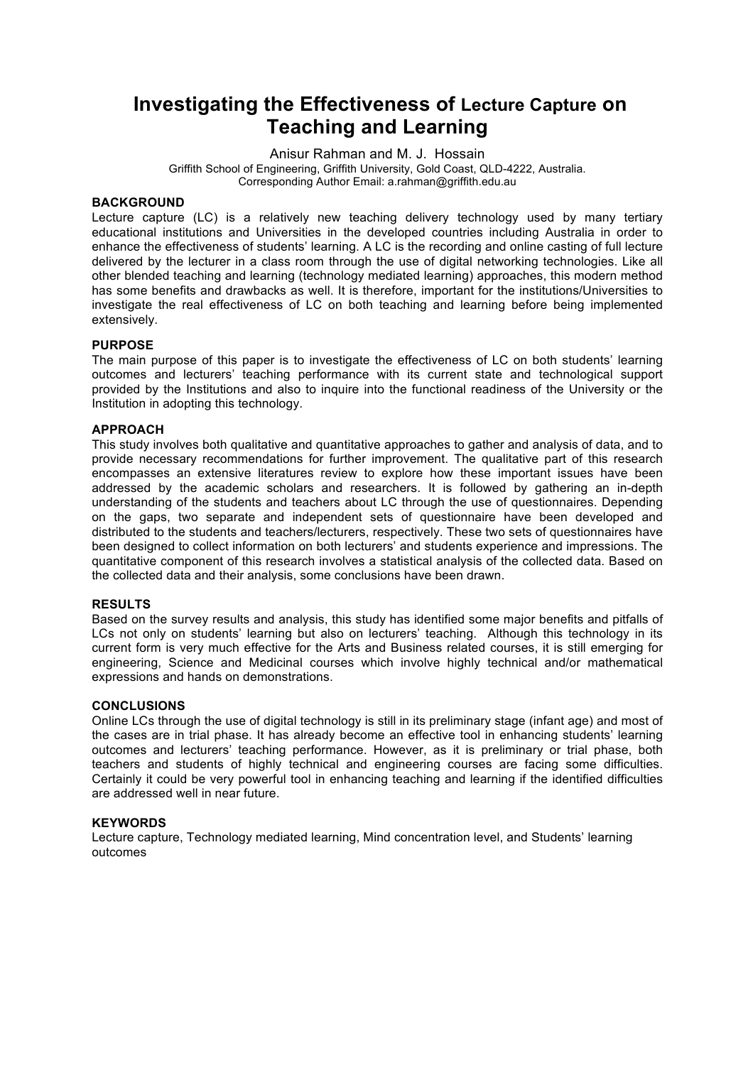## **Investigating the Effectiveness of Lecture Capture on Teaching and Learning**

Anisur Rahman and M. J. Hossain Griffith School of Engineering, Griffith University, Gold Coast, QLD-4222, Australia.

Corresponding Author Email: a.rahman@griffith.edu.au

### **BACKGROUND**

Lecture capture (LC) is a relatively new teaching delivery technology used by many tertiary educational institutions and Universities in the developed countries including Australia in order to enhance the effectiveness of students' learning. A LC is the recording and online casting of full lecture delivered by the lecturer in a class room through the use of digital networking technologies. Like all other blended teaching and learning (technology mediated learning) approaches, this modern method has some benefits and drawbacks as well. It is therefore, important for the institutions/Universities to investigate the real effectiveness of LC on both teaching and learning before being implemented extensively.

### **PURPOSE**

The main purpose of this paper is to investigate the effectiveness of LC on both students' learning outcomes and lecturers' teaching performance with its current state and technological support provided by the Institutions and also to inquire into the functional readiness of the University or the Institution in adopting this technology.

#### **APPROACH**

This study involves both qualitative and quantitative approaches to gather and analysis of data, and to provide necessary recommendations for further improvement. The qualitative part of this research encompasses an extensive literatures review to explore how these important issues have been addressed by the academic scholars and researchers. It is followed by gathering an in-depth understanding of the students and teachers about LC through the use of questionnaires. Depending on the gaps, two separate and independent sets of questionnaire have been developed and distributed to the students and teachers/lecturers, respectively. These two sets of questionnaires have been designed to collect information on both lecturers' and students experience and impressions. The quantitative component of this research involves a statistical analysis of the collected data. Based on the collected data and their analysis, some conclusions have been drawn.

### **RESULTS**

Based on the survey results and analysis, this study has identified some major benefits and pitfalls of LCs not only on students' learning but also on lecturers' teaching. Although this technology in its current form is very much effective for the Arts and Business related courses, it is still emerging for engineering, Science and Medicinal courses which involve highly technical and/or mathematical expressions and hands on demonstrations.

#### **CONCLUSIONS**

Online LCs through the use of digital technology is still in its preliminary stage (infant age) and most of the cases are in trial phase. It has already become an effective tool in enhancing students' learning outcomes and lecturers' teaching performance. However, as it is preliminary or trial phase, both teachers and students of highly technical and engineering courses are facing some difficulties. Certainly it could be very powerful tool in enhancing teaching and learning if the identified difficulties are addressed well in near future.

#### **KEYWORDS**

Lecture capture, Technology mediated learning, Mind concentration level, and Students' learning outcomes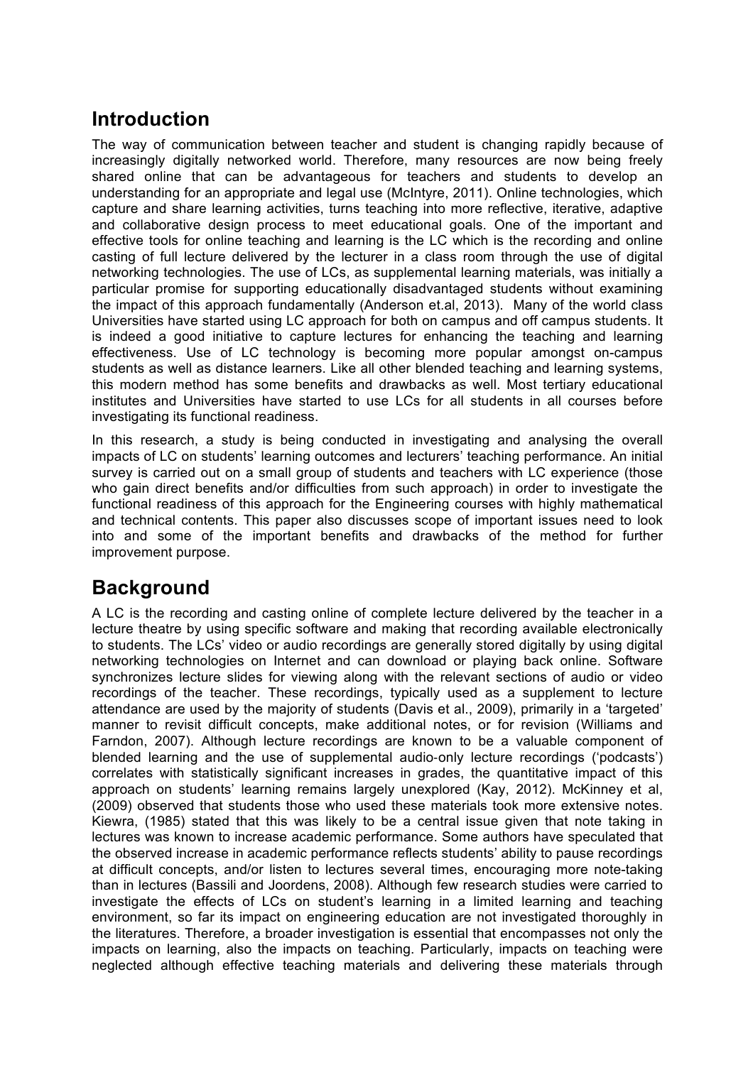# **Introduction**

The way of communication between teacher and student is changing rapidly because of increasingly digitally networked world. Therefore, many resources are now being freely shared online that can be advantageous for teachers and students to develop an understanding for an appropriate and legal use (McIntyre, 2011). Online technologies, which capture and share learning activities, turns teaching into more reflective, iterative, adaptive and collaborative design process to meet educational goals. One of the important and effective tools for online teaching and learning is the LC which is the recording and online casting of full lecture delivered by the lecturer in a class room through the use of digital networking technologies. The use of LCs, as supplemental learning materials, was initially a particular promise for supporting educationally disadvantaged students without examining the impact of this approach fundamentally (Anderson et.al, 2013). Many of the world class Universities have started using LC approach for both on campus and off campus students. It is indeed a good initiative to capture lectures for enhancing the teaching and learning effectiveness. Use of LC technology is becoming more popular amongst on-campus students as well as distance learners. Like all other blended teaching and learning systems, this modern method has some benefits and drawbacks as well. Most tertiary educational institutes and Universities have started to use LCs for all students in all courses before investigating its functional readiness.

In this research, a study is being conducted in investigating and analysing the overall impacts of LC on students' learning outcomes and lecturers' teaching performance. An initial survey is carried out on a small group of students and teachers with LC experience (those who gain direct benefits and/or difficulties from such approach) in order to investigate the functional readiness of this approach for the Engineering courses with highly mathematical and technical contents. This paper also discusses scope of important issues need to look into and some of the important benefits and drawbacks of the method for further improvement purpose.

# **Background**

A LC is the recording and casting online of complete lecture delivered by the teacher in a lecture theatre by using specific software and making that recording available electronically to students. The LCs' video or audio recordings are generally stored digitally by using digital networking technologies on Internet and can download or playing back online. Software synchronizes lecture slides for viewing along with the relevant sections of audio or video recordings of the teacher. These recordings, typically used as a supplement to lecture attendance are used by the majority of students (Davis et al., 2009), primarily in a 'targeted' manner to revisit difficult concepts, make additional notes, or for revision (Williams and Farndon, 2007). Although lecture recordings are known to be a valuable component of blended learning and the use of supplemental audio-only lecture recordings ('podcasts') correlates with statistically significant increases in grades, the quantitative impact of this approach on students' learning remains largely unexplored (Kay, 2012). McKinney et al, (2009) observed that students those who used these materials took more extensive notes. Kiewra, (1985) stated that this was likely to be a central issue given that note taking in lectures was known to increase academic performance. Some authors have speculated that the observed increase in academic performance reflects students' ability to pause recordings at difficult concepts, and/or listen to lectures several times, encouraging more note-taking than in lectures (Bassili and Joordens, 2008). Although few research studies were carried to investigate the effects of LCs on student's learning in a limited learning and teaching environment, so far its impact on engineering education are not investigated thoroughly in the literatures. Therefore, a broader investigation is essential that encompasses not only the impacts on learning, also the impacts on teaching. Particularly, impacts on teaching were neglected although effective teaching materials and delivering these materials through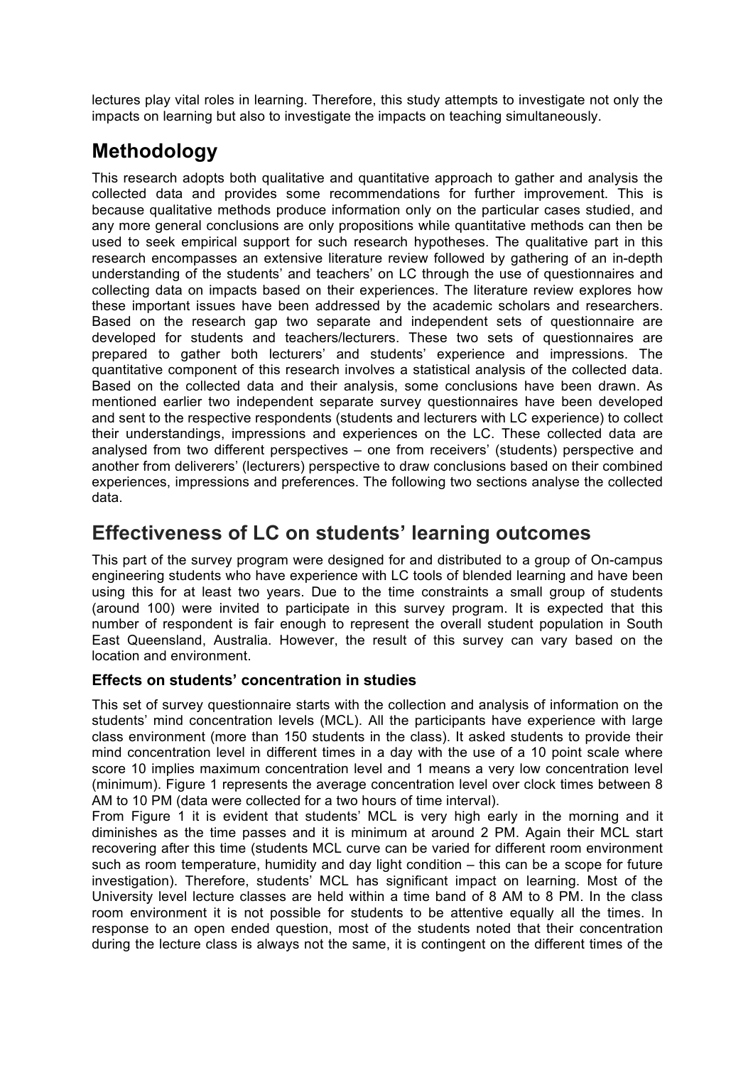lectures play vital roles in learning. Therefore, this study attempts to investigate not only the impacts on learning but also to investigate the impacts on teaching simultaneously.

# **Methodology**

This research adopts both qualitative and quantitative approach to gather and analysis the collected data and provides some recommendations for further improvement. This is because qualitative methods produce information only on the particular cases studied, and any more general conclusions are only propositions while quantitative methods can then be used to seek empirical support for such research hypotheses. The qualitative part in this research encompasses an extensive literature review followed by gathering of an in-depth understanding of the students' and teachers' on LC through the use of questionnaires and collecting data on impacts based on their experiences. The literature review explores how these important issues have been addressed by the academic scholars and researchers. Based on the research gap two separate and independent sets of questionnaire are developed for students and teachers/lecturers. These two sets of questionnaires are prepared to gather both lecturers' and students' experience and impressions. The quantitative component of this research involves a statistical analysis of the collected data. Based on the collected data and their analysis, some conclusions have been drawn. As mentioned earlier two independent separate survey questionnaires have been developed and sent to the respective respondents (students and lecturers with LC experience) to collect their understandings, impressions and experiences on the LC. These collected data are analysed from two different perspectives – one from receivers' (students) perspective and another from deliverers' (lecturers) perspective to draw conclusions based on their combined experiences, impressions and preferences. The following two sections analyse the collected data.

# **Effectiveness of LC on students' learning outcomes**

This part of the survey program were designed for and distributed to a group of On-campus engineering students who have experience with LC tools of blended learning and have been using this for at least two years. Due to the time constraints a small group of students (around 100) were invited to participate in this survey program. It is expected that this number of respondent is fair enough to represent the overall student population in South East Queensland, Australia. However, the result of this survey can vary based on the location and environment.

### **Effects on students' concentration in studies**

This set of survey questionnaire starts with the collection and analysis of information on the students' mind concentration levels (MCL). All the participants have experience with large class environment (more than 150 students in the class). It asked students to provide their mind concentration level in different times in a day with the use of a 10 point scale where score 10 implies maximum concentration level and 1 means a very low concentration level (minimum). Figure 1 represents the average concentration level over clock times between 8 AM to 10 PM (data were collected for a two hours of time interval).

From Figure 1 it is evident that students' MCL is very high early in the morning and it diminishes as the time passes and it is minimum at around 2 PM. Again their MCL start recovering after this time (students MCL curve can be varied for different room environment such as room temperature, humidity and day light condition – this can be a scope for future investigation). Therefore, students' MCL has significant impact on learning. Most of the University level lecture classes are held within a time band of 8 AM to 8 PM. In the class room environment it is not possible for students to be attentive equally all the times. In response to an open ended question, most of the students noted that their concentration during the lecture class is always not the same, it is contingent on the different times of the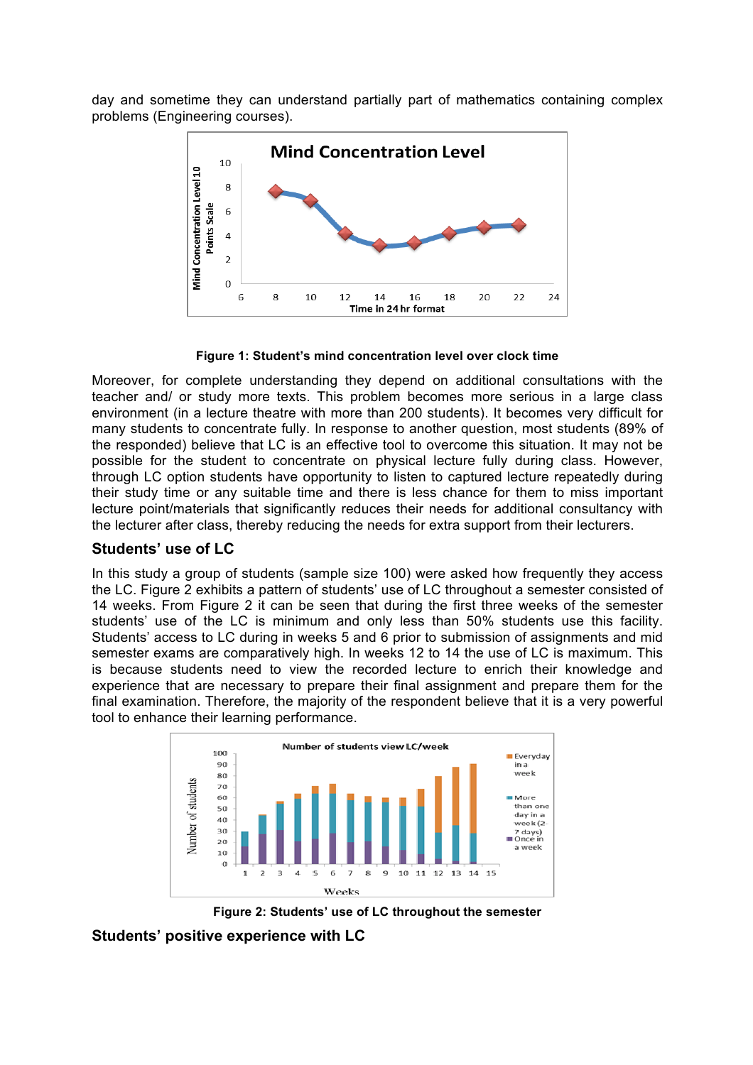day and sometime they can understand partially part of mathematics containing complex problems (Engineering courses).



**Figure 1: Student's mind concentration level over clock time**

Moreover, for complete understanding they depend on additional consultations with the teacher and/ or study more texts. This problem becomes more serious in a large class environment (in a lecture theatre with more than 200 students). It becomes very difficult for many students to concentrate fully. In response to another question, most students (89% of the responded) believe that LC is an effective tool to overcome this situation. It may not be possible for the student to concentrate on physical lecture fully during class. However, through LC option students have opportunity to listen to captured lecture repeatedly during their study time or any suitable time and there is less chance for them to miss important lecture point/materials that significantly reduces their needs for additional consultancy with the lecturer after class, thereby reducing the needs for extra support from their lecturers.

### **Students' use of LC**

In this study a group of students (sample size 100) were asked how frequently they access the LC. Figure 2 exhibits a pattern of students' use of LC throughout a semester consisted of 14 weeks. From Figure 2 it can be seen that during the first three weeks of the semester students' use of the LC is minimum and only less than 50% students use this facility. Students' access to LC during in weeks 5 and 6 prior to submission of assignments and mid semester exams are comparatively high. In weeks 12 to 14 the use of LC is maximum. This is because students need to view the recorded lecture to enrich their knowledge and experience that are necessary to prepare their final assignment and prepare them for the final examination. Therefore, the majority of the respondent believe that it is a very powerful tool to enhance their learning performance.



**Figure 2: Students' use of LC throughout the semester**

**Students' positive experience with LC**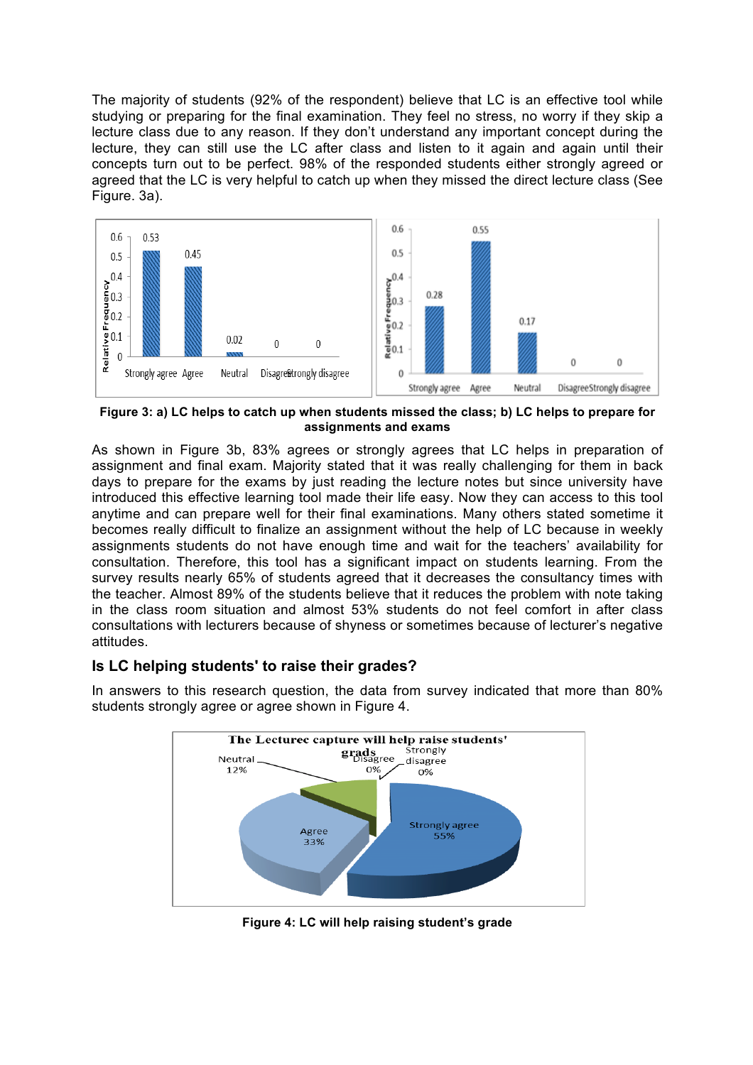The majority of students (92% of the respondent) believe that LC is an effective tool while studying or preparing for the final examination. They feel no stress, no worry if they skip a lecture class due to any reason. If they don't understand any important concept during the lecture, they can still use the LC after class and listen to it again and again until their concepts turn out to be perfect. 98% of the responded students either strongly agreed or agreed that the LC is very helpful to catch up when they missed the direct lecture class (See Figure. 3a).



**Figure 3: a) LC helps to catch up when students missed the class; b) LC helps to prepare for assignments and exams**

As shown in Figure 3b, 83% agrees or strongly agrees that LC helps in preparation of assignment and final exam. Majority stated that it was really challenging for them in back days to prepare for the exams by just reading the lecture notes but since university have introduced this effective learning tool made their life easy. Now they can access to this tool anytime and can prepare well for their final examinations. Many others stated sometime it becomes really difficult to finalize an assignment without the help of LC because in weekly assignments students do not have enough time and wait for the teachers' availability for consultation. Therefore, this tool has a significant impact on students learning. From the survey results nearly 65% of students agreed that it decreases the consultancy times with the teacher. Almost 89% of the students believe that it reduces the problem with note taking in the class room situation and almost 53% students do not feel comfort in after class consultations with lecturers because of shyness or sometimes because of lecturer's negative attitudes.

## **Is LC helping students' to raise their grades?**



In answers to this research question, the data from survey indicated that more than 80% students strongly agree or agree shown in Figure 4.

**Figure 4: LC will help raising student's grade**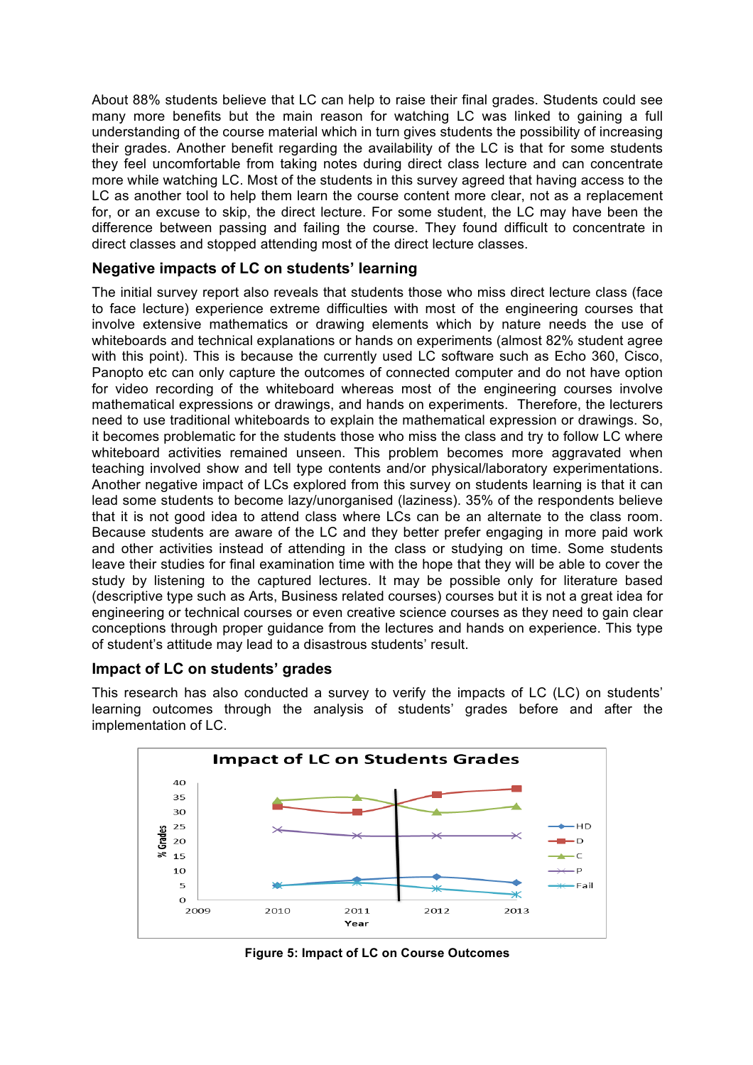About 88% students believe that LC can help to raise their final grades. Students could see many more benefits but the main reason for watching LC was linked to gaining a full understanding of the course material which in turn gives students the possibility of increasing their grades. Another benefit regarding the availability of the LC is that for some students they feel uncomfortable from taking notes during direct class lecture and can concentrate more while watching LC. Most of the students in this survey agreed that having access to the LC as another tool to help them learn the course content more clear, not as a replacement for, or an excuse to skip, the direct lecture. For some student, the LC may have been the difference between passing and failing the course. They found difficult to concentrate in direct classes and stopped attending most of the direct lecture classes.

### **Negative impacts of LC on students' learning**

The initial survey report also reveals that students those who miss direct lecture class (face to face lecture) experience extreme difficulties with most of the engineering courses that involve extensive mathematics or drawing elements which by nature needs the use of whiteboards and technical explanations or hands on experiments (almost 82% student agree with this point). This is because the currently used LC software such as Echo 360, Cisco, Panopto etc can only capture the outcomes of connected computer and do not have option for video recording of the whiteboard whereas most of the engineering courses involve mathematical expressions or drawings, and hands on experiments. Therefore, the lecturers need to use traditional whiteboards to explain the mathematical expression or drawings. So, it becomes problematic for the students those who miss the class and try to follow LC where whiteboard activities remained unseen. This problem becomes more aggravated when teaching involved show and tell type contents and/or physical/laboratory experimentations. Another negative impact of LCs explored from this survey on students learning is that it can lead some students to become lazy/unorganised (laziness). 35% of the respondents believe that it is not good idea to attend class where LCs can be an alternate to the class room. Because students are aware of the LC and they better prefer engaging in more paid work and other activities instead of attending in the class or studying on time. Some students leave their studies for final examination time with the hope that they will be able to cover the study by listening to the captured lectures. It may be possible only for literature based (descriptive type such as Arts, Business related courses) courses but it is not a great idea for engineering or technical courses or even creative science courses as they need to gain clear conceptions through proper guidance from the lectures and hands on experience. This type of student's attitude may lead to a disastrous students' result.

### **Impact of LC on students' grades**

This research has also conducted a survey to verify the impacts of LC (LC) on students' learning outcomes through the analysis of students' grades before and after the implementation of LC.



**Figure 5: Impact of LC on Course Outcomes**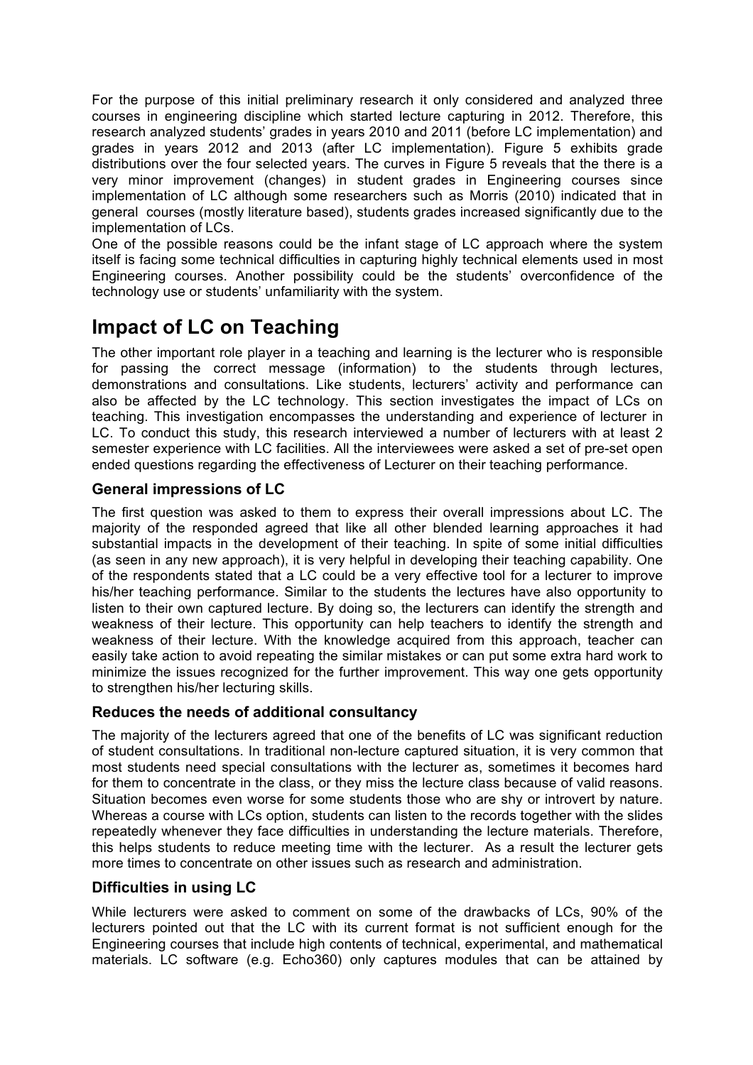For the purpose of this initial preliminary research it only considered and analyzed three courses in engineering discipline which started lecture capturing in 2012. Therefore, this research analyzed students' grades in years 2010 and 2011 (before LC implementation) and grades in years 2012 and 2013 (after LC implementation). Figure 5 exhibits grade distributions over the four selected years. The curves in Figure 5 reveals that the there is a very minor improvement (changes) in student grades in Engineering courses since implementation of LC although some researchers such as Morris (2010) indicated that in general courses (mostly literature based), students grades increased significantly due to the implementation of LCs.

One of the possible reasons could be the infant stage of LC approach where the system itself is facing some technical difficulties in capturing highly technical elements used in most Engineering courses. Another possibility could be the students' overconfidence of the technology use or students' unfamiliarity with the system.

# **Impact of LC on Teaching**

The other important role player in a teaching and learning is the lecturer who is responsible for passing the correct message (information) to the students through lectures, demonstrations and consultations. Like students, lecturers' activity and performance can also be affected by the LC technology. This section investigates the impact of LCs on teaching. This investigation encompasses the understanding and experience of lecturer in LC. To conduct this study, this research interviewed a number of lecturers with at least 2 semester experience with LC facilities. All the interviewees were asked a set of pre-set open ended questions regarding the effectiveness of Lecturer on their teaching performance.

## **General impressions of LC**

The first question was asked to them to express their overall impressions about LC. The majority of the responded agreed that like all other blended learning approaches it had substantial impacts in the development of their teaching. In spite of some initial difficulties (as seen in any new approach), it is very helpful in developing their teaching capability. One of the respondents stated that a LC could be a very effective tool for a lecturer to improve his/her teaching performance. Similar to the students the lectures have also opportunity to listen to their own captured lecture. By doing so, the lecturers can identify the strength and weakness of their lecture. This opportunity can help teachers to identify the strength and weakness of their lecture. With the knowledge acquired from this approach, teacher can easily take action to avoid repeating the similar mistakes or can put some extra hard work to minimize the issues recognized for the further improvement. This way one gets opportunity to strengthen his/her lecturing skills.

## **Reduces the needs of additional consultancy**

The majority of the lecturers agreed that one of the benefits of LC was significant reduction of student consultations. In traditional non-lecture captured situation, it is very common that most students need special consultations with the lecturer as, sometimes it becomes hard for them to concentrate in the class, or they miss the lecture class because of valid reasons. Situation becomes even worse for some students those who are shy or introvert by nature. Whereas a course with LCs option, students can listen to the records together with the slides repeatedly whenever they face difficulties in understanding the lecture materials. Therefore, this helps students to reduce meeting time with the lecturer. As a result the lecturer gets more times to concentrate on other issues such as research and administration.

## **Difficulties in using LC**

While lecturers were asked to comment on some of the drawbacks of LCs, 90% of the lecturers pointed out that the LC with its current format is not sufficient enough for the Engineering courses that include high contents of technical, experimental, and mathematical materials. LC software (e.g. Echo360) only captures modules that can be attained by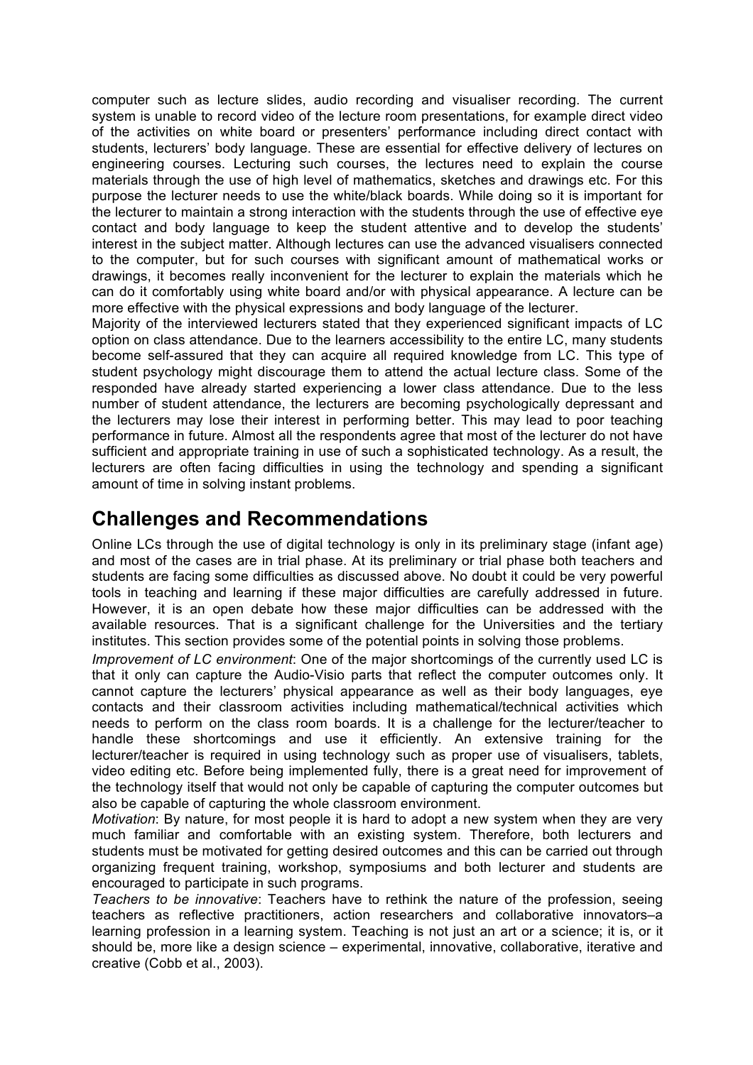computer such as lecture slides, audio recording and visualiser recording. The current system is unable to record video of the lecture room presentations, for example direct video of the activities on white board or presenters' performance including direct contact with students, lecturers' body language. These are essential for effective delivery of lectures on engineering courses. Lecturing such courses, the lectures need to explain the course materials through the use of high level of mathematics, sketches and drawings etc. For this purpose the lecturer needs to use the white/black boards. While doing so it is important for the lecturer to maintain a strong interaction with the students through the use of effective eye contact and body language to keep the student attentive and to develop the students' interest in the subject matter. Although lectures can use the advanced visualisers connected to the computer, but for such courses with significant amount of mathematical works or drawings, it becomes really inconvenient for the lecturer to explain the materials which he can do it comfortably using white board and/or with physical appearance. A lecture can be more effective with the physical expressions and body language of the lecturer.

Majority of the interviewed lecturers stated that they experienced significant impacts of LC option on class attendance. Due to the learners accessibility to the entire LC, many students become self-assured that they can acquire all required knowledge from LC. This type of student psychology might discourage them to attend the actual lecture class. Some of the responded have already started experiencing a lower class attendance. Due to the less number of student attendance, the lecturers are becoming psychologically depressant and the lecturers may lose their interest in performing better. This may lead to poor teaching performance in future. Almost all the respondents agree that most of the lecturer do not have sufficient and appropriate training in use of such a sophisticated technology. As a result, the lecturers are often facing difficulties in using the technology and spending a significant amount of time in solving instant problems.

## **Challenges and Recommendations**

Online LCs through the use of digital technology is only in its preliminary stage (infant age) and most of the cases are in trial phase. At its preliminary or trial phase both teachers and students are facing some difficulties as discussed above. No doubt it could be very powerful tools in teaching and learning if these major difficulties are carefully addressed in future. However, it is an open debate how these major difficulties can be addressed with the available resources. That is a significant challenge for the Universities and the tertiary institutes. This section provides some of the potential points in solving those problems.

*Improvement of LC environment*: One of the major shortcomings of the currently used LC is that it only can capture the Audio-Visio parts that reflect the computer outcomes only. It cannot capture the lecturers' physical appearance as well as their body languages, eye contacts and their classroom activities including mathematical/technical activities which needs to perform on the class room boards. It is a challenge for the lecturer/teacher to handle these shortcomings and use it efficiently. An extensive training for the lecturer/teacher is required in using technology such as proper use of visualisers, tablets, video editing etc. Before being implemented fully, there is a great need for improvement of the technology itself that would not only be capable of capturing the computer outcomes but also be capable of capturing the whole classroom environment.

*Motivation*: By nature, for most people it is hard to adopt a new system when they are very much familiar and comfortable with an existing system. Therefore, both lecturers and students must be motivated for getting desired outcomes and this can be carried out through organizing frequent training, workshop, symposiums and both lecturer and students are encouraged to participate in such programs.

*Teachers to be innovative*: Teachers have to rethink the nature of the profession, seeing teachers as reflective practitioners, action researchers and collaborative innovators–a learning profession in a learning system. Teaching is not just an art or a science; it is, or it should be, more like a design science – experimental, innovative, collaborative, iterative and creative (Cobb et al., 2003).